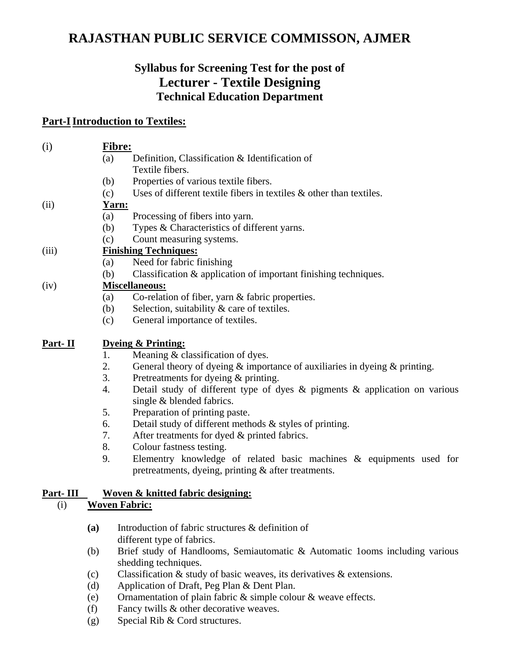# **RAJASTHAN PUBLIC SERVICE COMMISSON, AJMER**

## **Syllabus for Screening Test for the post of Lecturer - Textile Designing Technical Education Department**

## **Part-I Introduction to Textiles:**

| (i)            | Fibre:                            |                                                                                  |  |
|----------------|-----------------------------------|----------------------------------------------------------------------------------|--|
|                | (a)                               | Definition, Classification & Identification of                                   |  |
|                |                                   | Textile fibers.                                                                  |  |
|                | (b)                               | Properties of various textile fibers.                                            |  |
|                | (c)                               | Uses of different textile fibers in textiles $\&$ other than textiles.           |  |
| (ii)           |                                   | Yarn:                                                                            |  |
|                | (a)                               | Processing of fibers into yarn.                                                  |  |
|                | (b)                               | Types & Characteristics of different yarns.                                      |  |
|                | (c)                               | Count measuring systems.                                                         |  |
| (iii)          | <b>Finishing Techniques:</b>      |                                                                                  |  |
|                | (a)                               | Need for fabric finishing                                                        |  |
|                | (b)                               | Classification & application of important finishing techniques.                  |  |
| (iv)           | <b>Miscellaneous:</b>             |                                                                                  |  |
|                | (a)                               | Co-relation of fiber, yarn & fabric properties.                                  |  |
|                | (b)                               | Selection, suitability & care of textiles.                                       |  |
|                | (c)                               | General importance of textiles.                                                  |  |
| <u>Part-II</u> | <b>Dyeing &amp; Printing:</b>     |                                                                                  |  |
|                | 1.                                | Meaning & classification of dyes.                                                |  |
|                | 2.                                | General theory of dyeing & importance of auxiliaries in dyeing & printing.       |  |
|                | 3.                                | Pretreatments for dyeing & printing.                                             |  |
|                | 4.                                | Detail study of different type of dyes $\&$ pigments $\&$ application on various |  |
|                |                                   | single & blended fabrics.                                                        |  |
|                | 5.                                | Preparation of printing paste.                                                   |  |
|                | 6.                                | Detail study of different methods & styles of printing.                          |  |
|                | 7.                                | After treatments for dyed & printed fabrics.                                     |  |
|                | 8.                                | Colour fastness testing.                                                         |  |
|                | 9.                                | Elementry knowledge of related basic machines & equipments used for              |  |
|                |                                   | pretreatments, dyeing, printing & after treatments.                              |  |
| Part-III       | Woven & knitted fabric designing: |                                                                                  |  |
| (i)            | <b>Woven Fabric:</b>              |                                                                                  |  |
|                | (a)                               | Introduction of fabric structures & definition of                                |  |
|                |                                   | different type of fabrics.                                                       |  |
|                | (b)                               | Brief study of Handlooms, Semiautomatic & Automatic 100ms including various      |  |
|                |                                   | shedding techniques.                                                             |  |
|                | (c)                               | Classification $\&$ study of basic weaves, its derivatives $\&$ extensions.      |  |
|                | (d)                               | Application of Draft, Peg Plan & Dent Plan.                                      |  |
|                | (e)                               | Ornamentation of plain fabric $\&$ simple colour $\&$ weave effects.             |  |
|                | (f)                               | Fancy twills & other decorative weaves.                                          |  |
|                | (g)                               | Special Rib & Cord structures.                                                   |  |
|                |                                   |                                                                                  |  |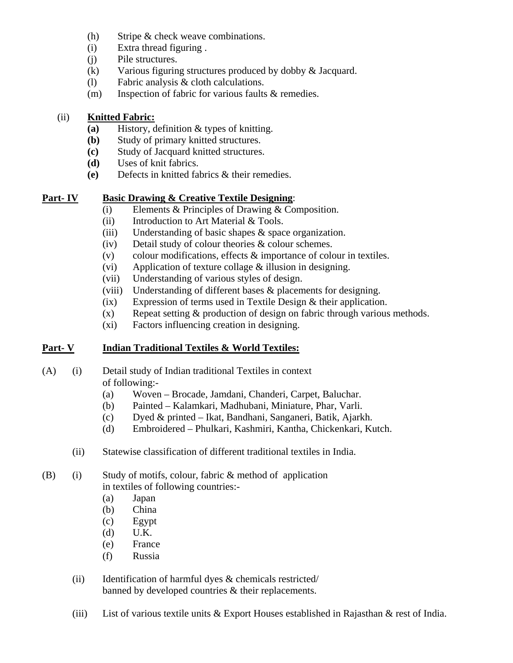- (h) Stripe & check weave combinations.
- (i) Extra thread figuring .
- (j) Pile structures.
- (k) Various figuring structures produced by dobby & Jacquard.
- (l) Fabric analysis & cloth calculations.
- (m) Inspection of fabric for various faults & remedies.

#### (ii) **Knitted Fabric:**

- **(a)** History, definition & types of knitting.
- **(b)** Study of primary knitted structures.
- **(c)** Study of Jacquard knitted structures.
- **(d)** Uses of knit fabrics.
- **(e)** Defects in knitted fabrics & their remedies.

#### **Part- IV Basic Drawing & Creative Textile Designing**:

- (i) Elements & Principles of Drawing & Composition.
- (ii) Introduction to Art Material & Tools.
- (iii) Understanding of basic shapes & space organization.
- (iv) Detail study of colour theories & colour schemes.
- (v) colour modifications, effects  $\&$  importance of colour in textiles.
- (vi) Application of texture collage & illusion in designing.
- (vii) Understanding of various styles of design.
- (viii) Understanding of different bases & placements for designing.
- (ix) Expression of terms used in Textile Design & their application.
- $(x)$  Repeat setting  $\&$  production of design on fabric through various methods.
- (xi) Factors influencing creation in designing.

## **Part- V Indian Traditional Textiles & World Textiles:**

#### (A) (i) Detail study of Indian traditional Textiles in context of following:-

- (a) Woven Brocade, Jamdani, Chanderi, Carpet, Baluchar.
- (b) Painted Kalamkari, Madhubani, Miniature, Phar, Varli.
- (c) Dyed & printed Ikat, Bandhani, Sanganeri, Batik, Ajarkh.
- (d) Embroidered Phulkari, Kashmiri, Kantha, Chickenkari, Kutch.
- (ii) Statewise classification of different traditional textiles in India.

#### (B) (i) Study of motifs, colour, fabric & method of application in textiles of following countries:-

- (a) Japan
- (b) China
- (c) Egypt
- (d) U.K.
- (e) France
- (f) Russia
- (ii) Identification of harmful dyes & chemicals restricted/ banned by developed countries & their replacements.
- (iii) List of various textile units  $&$  Export Houses established in Rajasthan  $&$  rest of India.